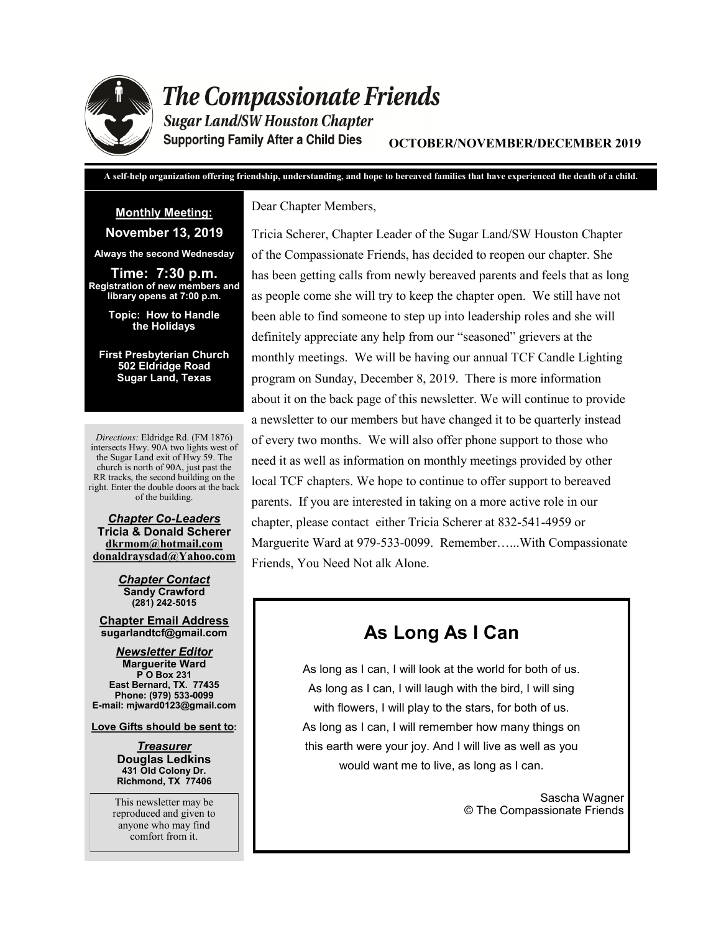

# **The Compassionate Friends**

**Sugar Land/SW Houston Chapter Supporting Family After a Child Dies** 

**OCTOBER/NOVEMBER/DECEMBER 2019**

**A self-help organization offering friendship, understanding, and hope to bereaved families that have experienced the death of a child.**

# **Monthly Meeting:**

### **November 13, 2019**

**Always the second Wednesday**

**Time: 7:30 p.m. Registration of new members and library opens at 7:00 p.m.** 

> **Topic: How to Handle the Holidays**

**First Presbyterian Church 502 Eldridge Road Sugar Land, Texas**

*Directions:* Eldridge Rd. (FM 1876) intersects Hwy. 90A two lights west of the Sugar Land exit of Hwy 59. The church is north of 90A, just past the RR tracks, the second building on the right. Enter the double doors at the back of the building.

*Chapter Co-Leaders* **Tricia & Donald Scherer dkrmom@hotmail.com donaldraysdad@Yahoo.com**

> *Chapter Contact* **Sandy Crawford (281) 242-5015**

**Chapter Email Address sugarlandtcf@gmail.com**

*Newsletter Editor* **Marguerite Ward P O Box 231 East Bernard, TX. 77435 Phone: (979) 533-0099 E-mail: mjward0123@gmail.com**

**Love Gifts should be sent to:**

*Treasurer* **Douglas Ledkins 431 Old Colony Dr. Richmond, TX 77406**

This newsletter may be reproduced and given to anyone who may find comfort from it.

Dear Chapter Members,

Tricia Scherer, Chapter Leader of the Sugar Land/SW Houston Chapter of the Compassionate Friends, has decided to reopen our chapter. She has been getting calls from newly bereaved parents and feels that as long as people come she will try to keep the chapter open. We still have not been able to find someone to step up into leadership roles and she will definitely appreciate any help from our "seasoned" grievers at the monthly meetings. We will be having our annual TCF Candle Lighting program on Sunday, December 8, 2019. There is more information about it on the back page of this newsletter. We will continue to provide a newsletter to our members but have changed it to be quarterly instead of every two months. We will also offer phone support to those who need it as well as information on monthly meetings provided by other local TCF chapters. We hope to continue to offer support to bereaved parents. If you are interested in taking on a more active role in our chapter, please contact either Tricia Scherer at 832-541-4959 or Marguerite Ward at 979-533-0099. Remember…...With Compassionate Friends, You Need Not alk Alone.

# **As Long As I Can**

As long as I can, I will look at the world for both of us. As long as I can, I will laugh with the bird, I will sing with flowers, I will play to the stars, for both of us. As long as I can, I will remember how many things on this earth were your joy. And I will live as well as you would want me to live, as long as I can.

> Sascha Wagner © The Compassionate Friends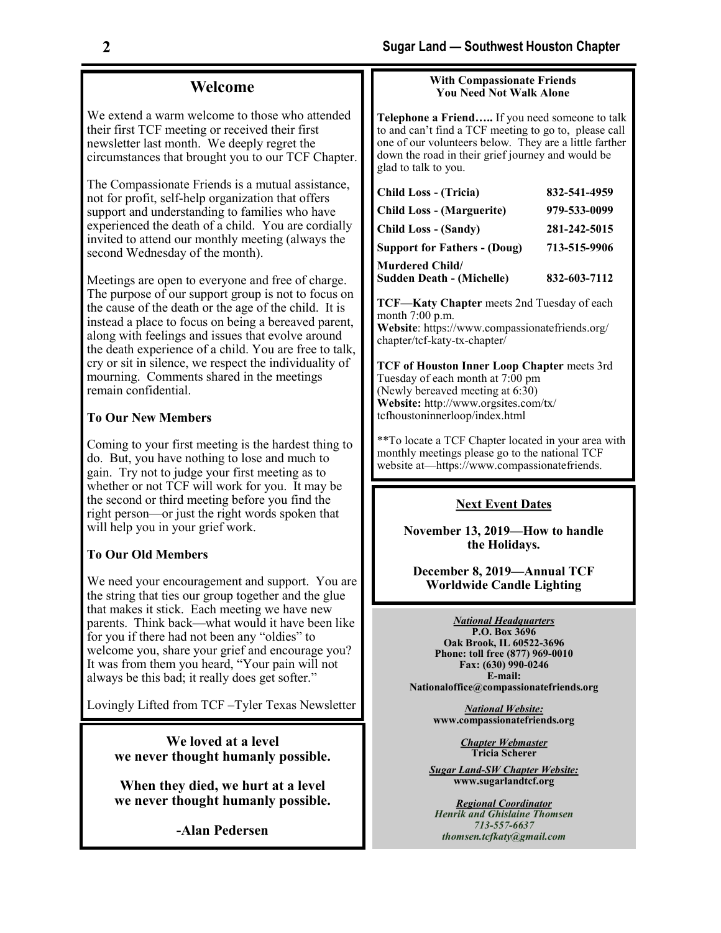### **Welcome**

We extend a warm welcome to those who attended their first TCF meeting or received their first newsletter last month. We deeply regret the circumstances that brought you to our TCF Chapter.

The Compassionate Friends is a mutual assistance, not for profit, self-help organization that offers support and understanding to families who have experienced the death of a child. You are cordially invited to attend our monthly meeting (always the second Wednesday of the month).

Meetings are open to everyone and free of charge. The purpose of our support group is not to focus on the cause of the death or the age of the child. It is instead a place to focus on being a bereaved parent, along with feelings and issues that evolve around the death experience of a child. You are free to talk, cry or sit in silence, we respect the individuality of mourning. Comments shared in the meetings remain confidential.

### **To Our New Members**

Coming to your first meeting is the hardest thing to do. But, you have nothing to lose and much to gain. Try not to judge your first meeting as to whether or not TCF will work for you. It may be the second or third meeting before you find the right person—or just the right words spoken that will help you in your grief work.

### **To Our Old Members**

We need your encouragement and support. You are the string that ties our group together and the glue that makes it stick. Each meeting we have new parents. Think back—what would it have been like for you if there had not been any "oldies" to welcome you, share your grief and encourage you? It was from them you heard, "Your pain will not always be this bad; it really does get softer."

Lovingly Lifted from TCF –Tyler Texas Newsletter

**We loved at a level we never thought humanly possible.**

**When they died, we hurt at a level we never thought humanly possible.** 

**-Alan Pedersen**

### **With Compassionate Friends You Need Not Walk Alone**

**Telephone a Friend…..** If you need someone to talk to and can't find a TCF meeting to go to, please call one of our volunteers below. They are a little farther down the road in their grief journey and would be glad to talk to you.

| <b>Child Loss - (Tricia)</b>        | 832-541-4959 |
|-------------------------------------|--------------|
| <b>Child Loss - (Marguerite)</b>    | 979-533-0099 |
| <b>Child Loss - (Sandy)</b>         | 281-242-5015 |
| <b>Support for Fathers - (Doug)</b> | 713-515-9906 |
| <b>Murdered Child/</b>              |              |
| <b>Sudden Death - (Michelle)</b>    | 832-603-7112 |

**TCF—Katy Chapter** meets 2nd Tuesday of each month 7:00 p.m. **Website**: https://www.compassionatefriends.org/ chapter/tcf-katy-tx-chapter/

**TCF of Houston Inner Loop Chapter** meets 3rd Tuesday of each month at  $7:00 \text{ pm}$ (Newly bereaved meeting at 6:30) **Website:** http://www.orgsites.com/tx/ tcfhoustoninnerloop/index.html

\*\*To locate a TCF Chapter located in your area with monthly meetings please go to the national TCF website at—https://www.compassionatefriends.

### **Next Event Dates**

**November 13, 2019—How to handle the Holidays.** 

**December 8, 2019—Annual TCF Worldwide Candle Lighting** 

*National Headquarters*

**P.O. Box 3696 Oak Brook, IL 60522-3696 Phone: toll free (877) 969-0010 Fax: (630) 990-0246 E-mail: Nationaloffice@compassionatefriends.org**

> *National Website:*  **www.compassionatefriends.org**

> > *Chapter Webmaster* **Tricia Scherer**

*Sugar Land-SW Chapter Website:* **www.sugarlandtcf.org**

*Regional Coordinator Henrik and Ghislaine Thomsen 713-557-6637 thomsen.tcfkaty@gmail.com*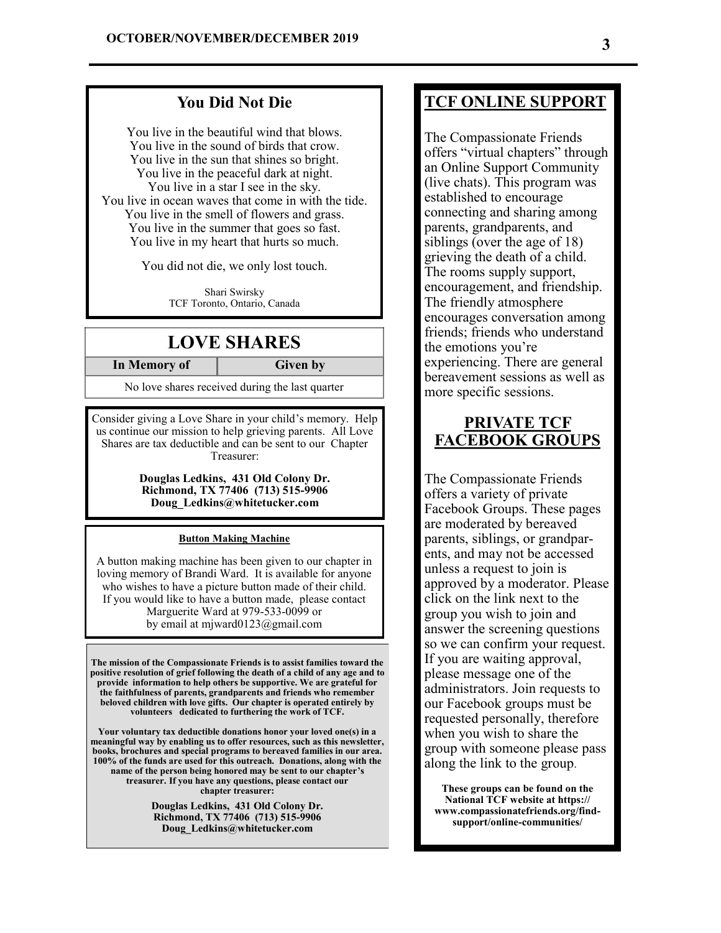### **You Did Not Die**

You live in the beautiful wind that blows. You live in the sound of birds that crow. You live in the sun that shines so bright. You live in the peaceful dark at night. You live in a star I see in the sky. You live in ocean waves that come in with the tide. You live in the smell of flowers and grass. You live in the summer that goes so fast. You live in my heart that hurts so much.

You did not die, we only lost touch.

Shari Swirsky TCF Toronto, Ontario, Canada

### **LOVE SHARES**

**In Memory of Given by** 

No love shares received during the last quarter

Consider giving a Love Share in your child's memory. Help us continue our mission to help grieving parents. All Love Shares are tax deductible and can be sent to our Chapter Treasurer:

> **Douglas Ledkins, 431 Old Colony Dr. Richmond, TX 77406 (713) 515-9906 Doug\_Ledkins@whitetucker.com**

### **Button Making Machine**

A button making machine has been given to our chapter in loving memory of Brandi Ward. It is available for anyone who wishes to have a picture button made of their child. If you would like to have a button made, please contact Marguerite Ward at 979-533-0099 or by email at mjward0123@gmail.com

**The mission of the Compassionate Friends is to assist families toward the positive resolution of grief following the death of a child of any age and to provide information to help others be supportive. We are grateful for the faithfulness of parents, grandparents and friends who remember beloved children with love gifts. Our chapter is operated entirely by volunteers dedicated to furthering the work of TCF.** 

**Your voluntary tax deductible donations honor your loved one(s) in a meaningful way by enabling us to offer resources, such as this newsletter, books, brochures and special programs to bereaved families in our area. 100% of the funds are used for this outreach. Donations, along with the name of the person being honored may be sent to our chapter's treasurer. If you have any questions, please contact our chapter treasurer:** 

> **Douglas Ledkins, 431 Old Colony Dr. Richmond, TX 77406 (713) 515-9906 Doug\_Ledkins@whitetucker.com**

## **TCF ONLINE SUPPORT**

The Compassionate Friends offers "virtual chapters" through an Online Support Community (live chats). This program was established to encourage connecting and sharing among parents, grandparents, and siblings (over the age of 18) grieving the death of a child. The rooms supply support, encouragement, and friendship. The friendly atmosphere encourages conversation among friends; friends who understand the emotions you're experiencing. There are general bereavement sessions as well as more specific sessions.

### **PRIVATE TCF FACEBOOK GROUPS**

The Compassionate Friends offers a variety of private Facebook Groups. These pages are moderated by bereaved parents, siblings, or grandparents, and may not be accessed unless a request to join is approved by a moderator. Please click on the link next to the group you wish to join and answer the screening questions so we can confirm your request. If you are waiting approval, please message one of the administrators. Join requests to our Facebook groups must be requested personally, therefore when you wish to share the group with someone please pass along the link to the group.

**These groups can be found on the National TCF website at https:// www.compassionatefriends.org/findsupport/online-communities/**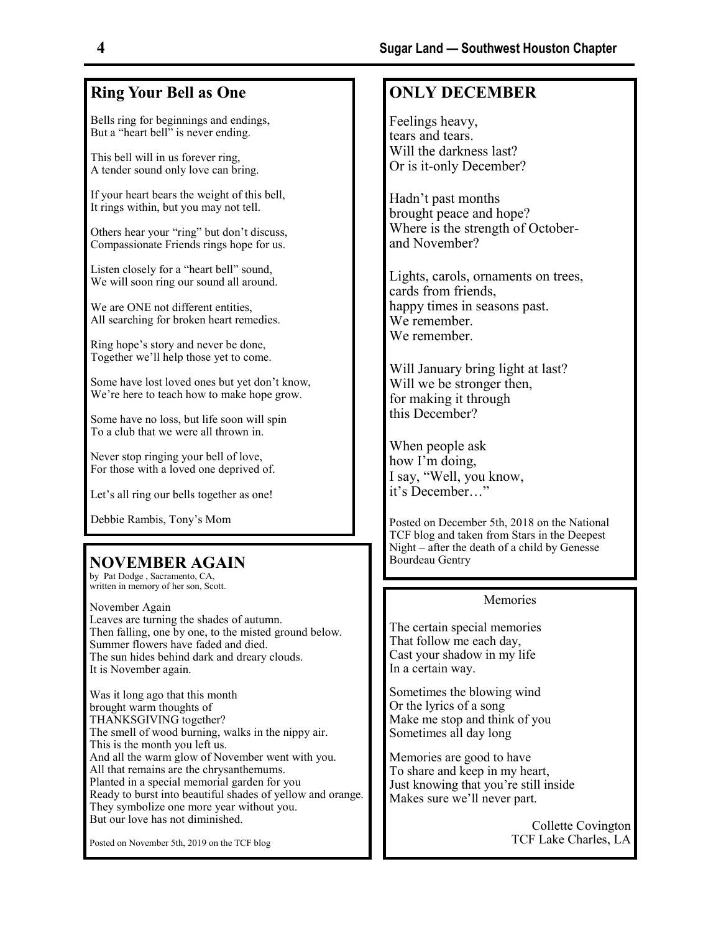# **Ring Your Bell as One**

Bells ring for beginnings and endings, But a "heart bell" is never ending.

This bell will in us forever ring, A tender sound only love can bring.

If your heart bears the weight of this bell, It rings within, but you may not tell.

Others hear your "ring" but don't discuss, Compassionate Friends rings hope for us.

Listen closely for a "heart bell" sound, We will soon ring our sound all around.

We are ONE not different entities, All searching for broken heart remedies.

Ring hope's story and never be done, Together we'll help those yet to come.

Some have lost loved ones but yet don't know, We're here to teach how to make hope grow.

Some have no loss, but life soon will spin To a club that we were all thrown in.

Never stop ringing your bell of love, For those with a loved one deprived of.

Let's all ring our bells together as one!

Debbie Rambis, Tony's Mom

### **NOVEMBER AGAIN**

by Pat Dodge , Sacramento, CA, written in memory of her son, Scott.

November Again Leaves are turning the shades of autumn. Then falling, one by one, to the misted ground below. Summer flowers have faded and died. The sun hides behind dark and dreary clouds. It is November again.

Was it long ago that this month brought warm thoughts of THANKSGIVING together? The smell of wood burning, walks in the nippy air. This is the month you left us. And all the warm glow of November went with you. All that remains are the chrysanthemums. Planted in a special memorial garden for you Ready to burst into beautiful shades of yellow and orange. They symbolize one more year without you. But our love has not diminished.

Posted on November 5th, 2019 on the TCF blog

## **ONLY DECEMBER**

Feelings heavy, tears and tears. Will the darkness last? Or is it-only December?

Hadn't past months brought peace and hope? Where is the strength of Octoberand November?

Lights, carols, ornaments on trees, cards from friends, happy times in seasons past. We remember. We remember.

Will January bring light at last? this December?

When people ask how I'm doing, I say, "Well, you know, it's December…"

Posted on December 5th, 2018 on the National TCF blog and taken from Stars in the Deepest Night – after the death of a child by Genesse Bourdeau Gentry

### Memories

Collette Covington TCF Lake Charles, LA

The certain special memories That follow me each day,

Cast your shadow in my life In a certain way.

Or the lyrics of a song Make me stop and think of you Sometimes all day long

Sometimes the blowing wind

Memories are good to have To share and keep in my heart, Just knowing that you're still inside Makes sure we'll never part.

Will we be stronger then, for making it through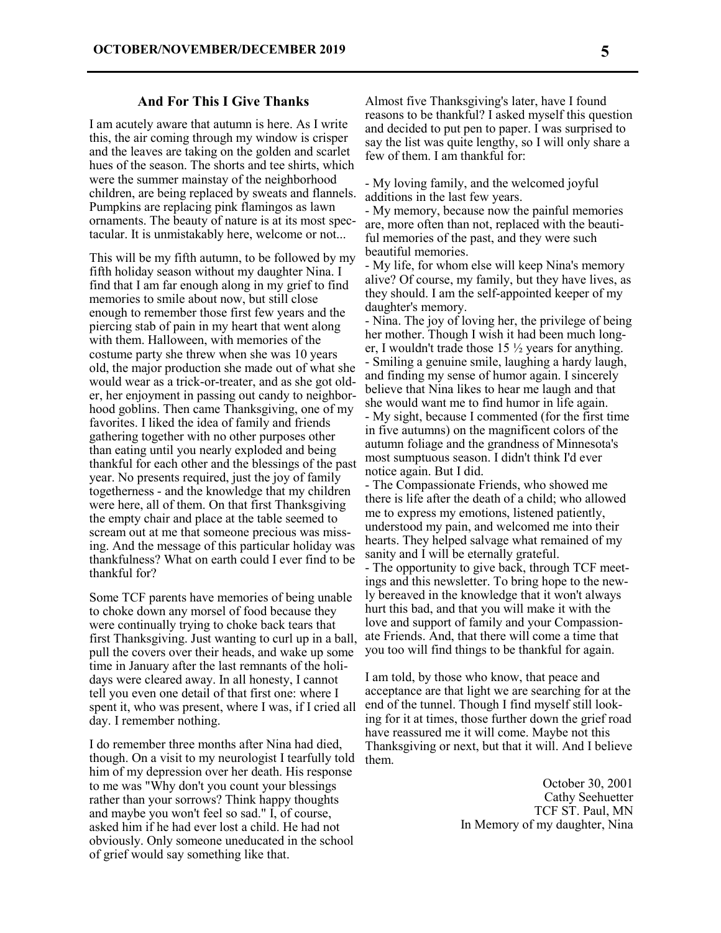### **And For This I Give Thanks**

I am acutely aware that autumn is here. As I write this, the air coming through my window is crisper and the leaves are taking on the golden and scarlet hues of the season. The shorts and tee shirts, which were the summer mainstay of the neighborhood children, are being replaced by sweats and flannels. Pumpkins are replacing pink flamingos as lawn ornaments. The beauty of nature is at its most spectacular. It is unmistakably here, welcome or not...

This will be my fifth autumn, to be followed by my fifth holiday season without my daughter Nina. I find that I am far enough along in my grief to find memories to smile about now, but still close enough to remember those first few years and the piercing stab of pain in my heart that went along with them. Halloween, with memories of the costume party she threw when she was 10 years old, the major production she made out of what she would wear as a trick-or-treater, and as she got older, her enjoyment in passing out candy to neighborhood goblins. Then came Thanksgiving, one of my favorites. I liked the idea of family and friends gathering together with no other purposes other than eating until you nearly exploded and being thankful for each other and the blessings of the past year. No presents required, just the joy of family togetherness - and the knowledge that my children were here, all of them. On that first Thanksgiving the empty chair and place at the table seemed to scream out at me that someone precious was missing. And the message of this particular holiday was thankfulness? What on earth could I ever find to be thankful for?

Some TCF parents have memories of being unable to choke down any morsel of food because they were continually trying to choke back tears that first Thanksgiving. Just wanting to curl up in a ball, pull the covers over their heads, and wake up some time in January after the last remnants of the holidays were cleared away. In all honesty, I cannot tell you even one detail of that first one: where I spent it, who was present, where I was, if I cried all day. I remember nothing.

I do remember three months after Nina had died, though. On a visit to my neurologist I tearfully told him of my depression over her death. His response to me was "Why don't you count your blessings rather than your sorrows? Think happy thoughts and maybe you won't feel so sad." I, of course, asked him if he had ever lost a child. He had not obviously. Only someone uneducated in the school of grief would say something like that.

Almost five Thanksgiving's later, have I found reasons to be thankful? I asked myself this question and decided to put pen to paper. I was surprised to say the list was quite lengthy, so I will only share a few of them. I am thankful for:

- My loving family, and the welcomed joyful additions in the last few years.

- My memory, because now the painful memories are, more often than not, replaced with the beautiful memories of the past, and they were such beautiful memories.

- My life, for whom else will keep Nina's memory alive? Of course, my family, but they have lives, as they should. I am the self-appointed keeper of my daughter's memory.

- Nina. The joy of loving her, the privilege of being her mother. Though I wish it had been much longer, I wouldn't trade those 15 ½ years for anything. - Smiling a genuine smile, laughing a hardy laugh, and finding my sense of humor again. I sincerely believe that Nina likes to hear me laugh and that she would want me to find humor in life again. - My sight, because I commented (for the first time in five autumns) on the magnificent colors of the autumn foliage and the grandness of Minnesota's most sumptuous season. I didn't think I'd ever notice again. But I did.

- The Compassionate Friends, who showed me there is life after the death of a child; who allowed me to express my emotions, listened patiently, understood my pain, and welcomed me into their hearts. They helped salvage what remained of my sanity and I will be eternally grateful. - The opportunity to give back, through TCF meet-

ings and this newsletter. To bring hope to the newly bereaved in the knowledge that it won't always hurt this bad, and that you will make it with the love and support of family and your Compassionate Friends. And, that there will come a time that you too will find things to be thankful for again.

I am told, by those who know, that peace and acceptance are that light we are searching for at the end of the tunnel. Though I find myself still looking for it at times, those further down the grief road have reassured me it will come. Maybe not this Thanksgiving or next, but that it will. And I believe them.

> October 30, 2001 Cathy Seehuetter TCF ST. Paul, MN In Memory of my daughter, Nina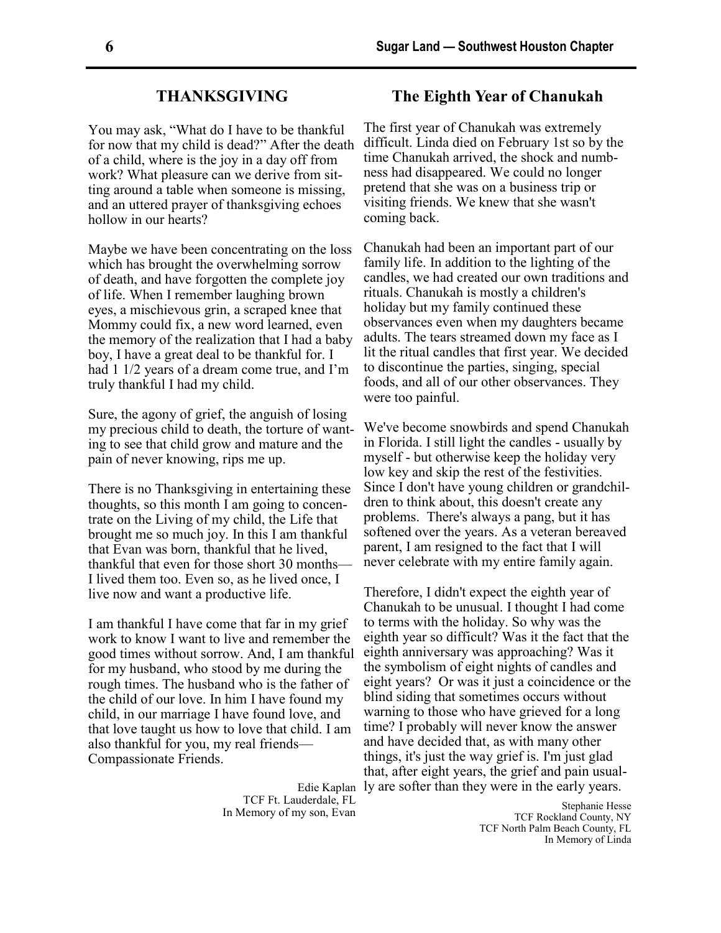### **THANKSGIVING**

You may ask, "What do I have to be thankful for now that my child is dead?" After the death of a child, where is the joy in a day off from work? What pleasure can we derive from sitting around a table when someone is missing, and an uttered prayer of thanksgiving echoes hollow in our hearts?

Maybe we have been concentrating on the loss which has brought the overwhelming sorrow of death, and have forgotten the complete joy of life. When I remember laughing brown eyes, a mischievous grin, a scraped knee that Mommy could fix, a new word learned, even the memory of the realization that I had a baby boy, I have a great deal to be thankful for. I had 1 1/2 years of a dream come true, and I'm truly thankful I had my child.

Sure, the agony of grief, the anguish of losing my precious child to death, the torture of wanting to see that child grow and mature and the pain of never knowing, rips me up.

There is no Thanksgiving in entertaining these thoughts, so this month I am going to concentrate on the Living of my child, the Life that brought me so much joy. In this I am thankful that Evan was born, thankful that he lived, thankful that even for those short 30 months— I lived them too. Even so, as he lived once, I live now and want a productive life.

I am thankful I have come that far in my grief work to know I want to live and remember the good times without sorrow. And, I am thankful for my husband, who stood by me during the rough times. The husband who is the father of the child of our love. In him I have found my child, in our marriage I have found love, and that love taught us how to love that child. I am also thankful for you, my real friends— Compassionate Friends.

> TCF Ft. Lauderdale, FL In Memory of my son, Evan

### **The Eighth Year of Chanukah**

The first year of Chanukah was extremely difficult. Linda died on February 1st so by the time Chanukah arrived, the shock and numbness had disappeared. We could no longer pretend that she was on a business trip or visiting friends. We knew that she wasn't coming back.

Chanukah had been an important part of our family life. In addition to the lighting of the candles, we had created our own traditions and rituals. Chanukah is mostly a children's holiday but my family continued these observances even when my daughters became adults. The tears streamed down my face as I lit the ritual candles that first year. We decided to discontinue the parties, singing, special foods, and all of our other observances. They were too painful.

We've become snowbirds and spend Chanukah in Florida. I still light the candles - usually by myself - but otherwise keep the holiday very low key and skip the rest of the festivities. Since I don't have young children or grandchildren to think about, this doesn't create any problems. There's always a pang, but it has softened over the years. As a veteran bereaved parent, I am resigned to the fact that I will never celebrate with my entire family again.

Edie Kaplan ly are softer than they were in the early years. Therefore, I didn't expect the eighth year of Chanukah to be unusual. I thought I had come to terms with the holiday. So why was the eighth year so difficult? Was it the fact that the eighth anniversary was approaching? Was it the symbolism of eight nights of candles and eight years? Or was it just a coincidence or the blind siding that sometimes occurs without warning to those who have grieved for a long time? I probably will never know the answer and have decided that, as with many other things, it's just the way grief is. I'm just glad that, after eight years, the grief and pain usual-

> Stephanie Hesse TCF Rockland County, NY TCF North Palm Beach County, FL In Memory of Linda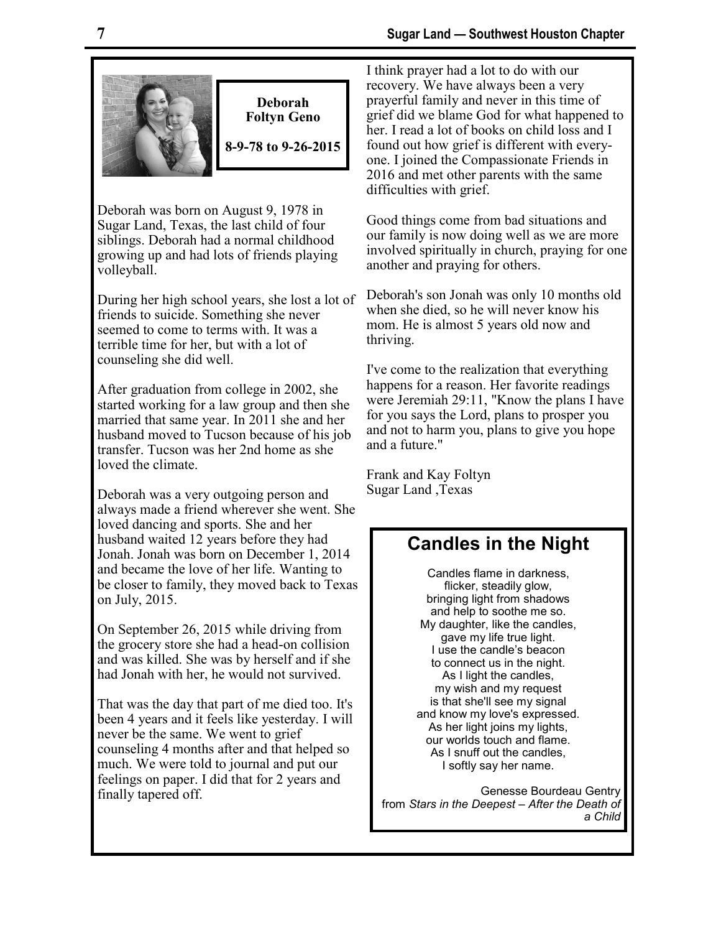

**Deborah Foltyn Geno** 

**8-9-78 to 9-26-2015**

Deborah was born on August 9, 1978 in Sugar Land, Texas, the last child of four siblings. Deborah had a normal childhood growing up and had lots of friends playing volleyball.

During her high school years, she lost a lot of friends to suicide. Something she never seemed to come to terms with. It was a terrible time for her, but with a lot of counseling she did well.

After graduation from college in 2002, she started working for a law group and then she married that same year. In 2011 she and her husband moved to Tucson because of his job transfer. Tucson was her 2nd home as she loved the climate.

Deborah was a very outgoing person and always made a friend wherever she went. She loved dancing and sports. She and her husband waited 12 years before they had Jonah. Jonah was born on December 1, 2014 and became the love of her life. Wanting to be closer to family, they moved back to Texas on July, 2015.

On September 26, 2015 while driving from the grocery store she had a head-on collision and was killed. She was by herself and if she had Jonah with her, he would not survived.

That was the day that part of me died too. It's been 4 years and it feels like yesterday. I will never be the same. We went to grief counseling 4 months after and that helped so much. We were told to journal and put our feelings on paper. I did that for 2 years and finally tapered off.

I think prayer had a lot to do with our recovery. We have always been a very prayerful family and never in this time of grief did we blame God for what happened to her. I read a lot of books on child loss and I found out how grief is different with everyone. I joined the Compassionate Friends in 2016 and met other parents with the same difficulties with grief.

Good things come from bad situations and our family is now doing well as we are more involved spiritually in church, praying for one another and praying for others.

Deborah's son Jonah was only 10 months old when she died, so he will never know his mom. He is almost 5 years old now and thriving.

I've come to the realization that everything happens for a reason. Her favorite readings were Jeremiah 29:11, "Know the plans I have for you says the Lord, plans to prosper you and not to harm you, plans to give you hope and a future."

Frank and Kay Foltyn Sugar Land ,Texas

# **Candles in the Night**

Candles flame in darkness, flicker, steadily glow, bringing light from shadows and help to soothe me so. My daughter, like the candles, gave my life true light. I use the candle's beacon to connect us in the night. As I light the candles, my wish and my request is that she'll see my signal and know my love's expressed. As her light joins my lights, our worlds touch and flame. As I snuff out the candles, I softly say her name.

Genesse Bourdeau Gentry from *Stars in the Deepest – After the Death of a Child*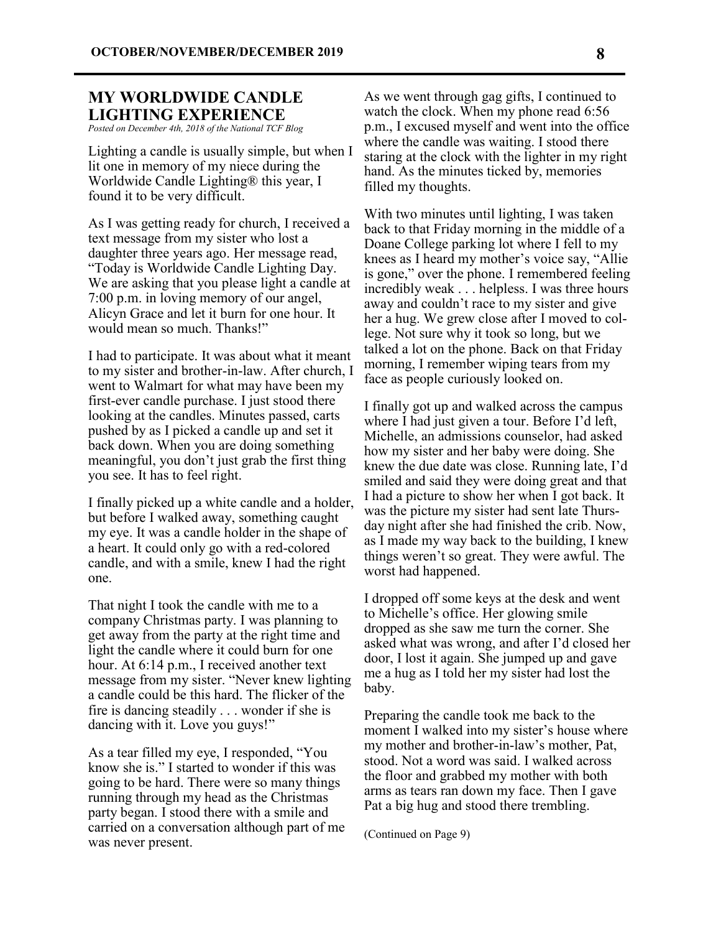### **MY WORLDWIDE CANDLE LIGHTING EXPERIENCE**

*Posted on December 4th, 2018 of the National TCF Blog*

Lighting a candle is usually simple, but when I lit one in memory of my niece during the Worldwide Candle Lighting® this year, I found it to be very difficult.

As I was getting ready for church, I received a text message from my sister who lost a daughter three years ago. Her message read, "Today is Worldwide Candle Lighting Day. We are asking that you please light a candle at 7:00 p.m. in loving memory of our angel, Alicyn Grace and let it burn for one hour. It would mean so much. Thanks!"

I had to participate. It was about what it meant to my sister and brother-in-law. After church, I went to Walmart for what may have been my first-ever candle purchase. I just stood there looking at the candles. Minutes passed, carts pushed by as I picked a candle up and set it back down. When you are doing something meaningful, you don't just grab the first thing you see. It has to feel right.

I finally picked up a white candle and a holder, but before I walked away, something caught my eye. It was a candle holder in the shape of a heart. It could only go with a red-colored candle, and with a smile, knew I had the right one.

That night I took the candle with me to a company Christmas party. I was planning to get away from the party at the right time and light the candle where it could burn for one hour. At 6:14 p.m., I received another text message from my sister. "Never knew lighting a candle could be this hard. The flicker of the fire is dancing steadily . . . wonder if she is dancing with it. Love you guys!"

As a tear filled my eye, I responded, "You know she is." I started to wonder if this was going to be hard. There were so many things running through my head as the Christmas party began. I stood there with a smile and carried on a conversation although part of me was never present.

As we went through gag gifts, I continued to watch the clock. When my phone read 6:56 p.m., I excused myself and went into the office where the candle was waiting. I stood there staring at the clock with the lighter in my right hand. As the minutes ticked by, memories filled my thoughts.

With two minutes until lighting, I was taken back to that Friday morning in the middle of a Doane College parking lot where I fell to my knees as I heard my mother's voice say, "Allie is gone," over the phone. I remembered feeling incredibly weak . . . helpless. I was three hours away and couldn't race to my sister and give her a hug. We grew close after I moved to college. Not sure why it took so long, but we talked a lot on the phone. Back on that Friday morning, I remember wiping tears from my face as people curiously looked on.

I finally got up and walked across the campus where I had just given a tour. Before I'd left, Michelle, an admissions counselor, had asked how my sister and her baby were doing. She knew the due date was close. Running late, I'd smiled and said they were doing great and that I had a picture to show her when I got back. It was the picture my sister had sent late Thursday night after she had finished the crib. Now, as I made my way back to the building, I knew things weren't so great. They were awful. The worst had happened.

I dropped off some keys at the desk and went to Michelle's office. Her glowing smile dropped as she saw me turn the corner. She asked what was wrong, and after I'd closed her door, I lost it again. She jumped up and gave me a hug as I told her my sister had lost the baby.

Preparing the candle took me back to the moment I walked into my sister's house where my mother and brother-in-law's mother, Pat, stood. Not a word was said. I walked across the floor and grabbed my mother with both arms as tears ran down my face. Then I gave Pat a big hug and stood there trembling.

(Continued on Page 9)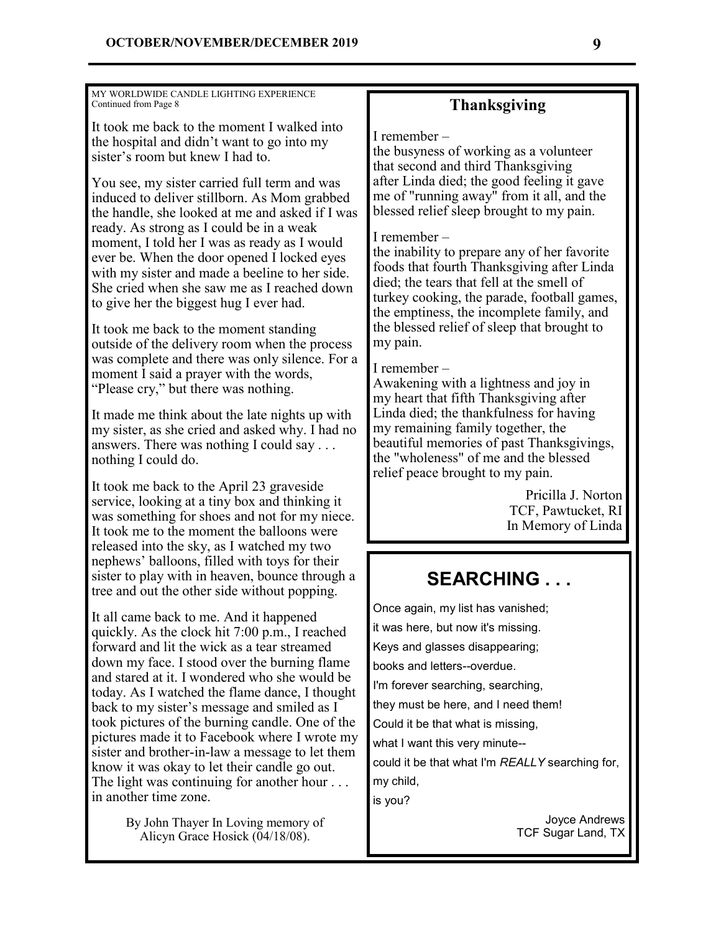MY WORLDWIDE CANDLE LIGHTING EXPERIENCE Continued from Page 8

It took me back to the moment I walked into the hospital and didn't want to go into my sister's room but knew I had to.

You see, my sister carried full term and was induced to deliver stillborn. As Mom grabbed the handle, she looked at me and asked if I was ready. As strong as I could be in a weak moment, I told her I was as ready as I would ever be. When the door opened I locked eyes with my sister and made a beeline to her side. She cried when she saw me as I reached down to give her the biggest hug I ever had.

It took me back to the moment standing outside of the delivery room when the process was complete and there was only silence. For a moment I said a prayer with the words, "Please cry," but there was nothing.

It made me think about the late nights up with my sister, as she cried and asked why. I had no answers. There was nothing I could say . . . nothing I could do.

It took me back to the April 23 graveside service, looking at a tiny box and thinking it was something for shoes and not for my niece. It took me to the moment the balloons were released into the sky, as I watched my two nephews' balloons, filled with toys for their sister to play with in heaven, bounce through a tree and out the other side without popping.

It all came back to me. And it happened quickly. As the clock hit 7:00 p.m., I reached forward and lit the wick as a tear streamed down my face. I stood over the burning flame and stared at it. I wondered who she would be today. As I watched the flame dance, I thought back to my sister's message and smiled as I took pictures of the burning candle. One of the pictures made it to Facebook where I wrote my sister and brother-in-law a message to let them know it was okay to let their candle go out. The light was continuing for another hour ... in another time zone.

> By John Thayer In Loving memory of Alicyn Grace Hosick (04/18/08).

## **Thanksgiving**

I remember –

the busyness of working as a volunteer that second and third Thanksgiving after Linda died; the good feeling it gave me of "running away" from it all, and the blessed relief sleep brought to my pain.

### I remember –

the inability to prepare any of her favorite foods that fourth Thanksgiving after Linda died; the tears that fell at the smell of turkey cooking, the parade, football games, the emptiness, the incomplete family, and the blessed relief of sleep that brought to my pain.

### I remember –

Awakening with a lightness and joy in my heart that fifth Thanksgiving after Linda died; the thankfulness for having my remaining family together, the beautiful memories of past Thanksgivings, the "wholeness" of me and the blessed relief peace brought to my pain.

> Pricilla J. Norton TCF, Pawtucket, RI In Memory of Linda

# **SEARCHING . . .**

Once again, my list has vanished; it was here, but now it's missing. Keys and glasses disappearing; books and letters--overdue. I'm forever searching, searching, they must be here, and I need them! Could it be that what is missing, what I want this very minute- could it be that what I'm *REALLY* searching for, my child, is you?

> Joyce Andrews TCF Sugar Land, TX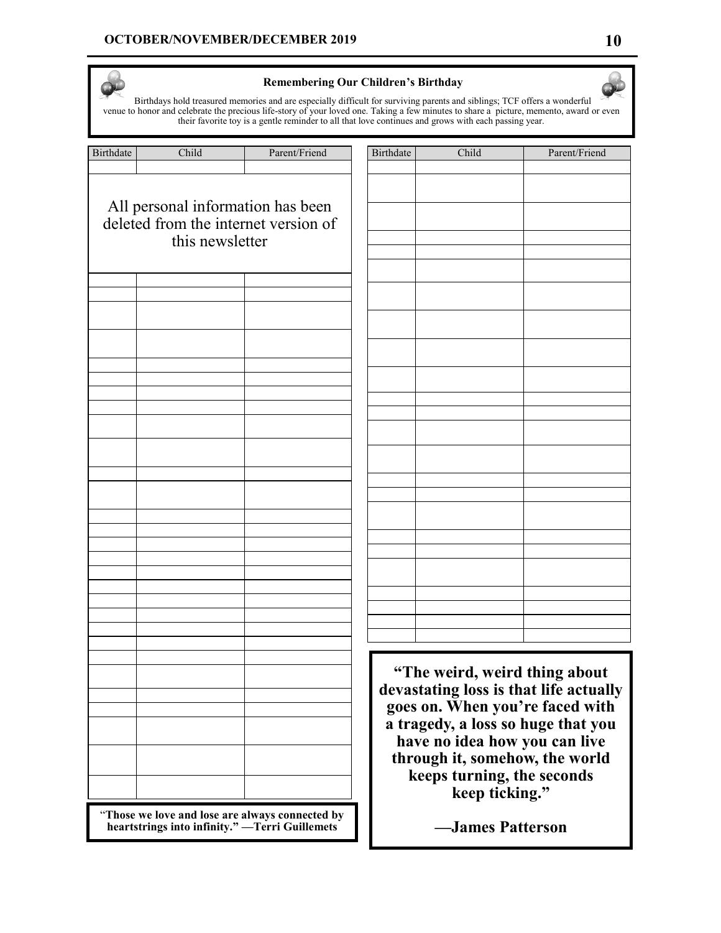### **OCTOBER/NOVEMBER/DECEMBER 2019 10**

### **Remembering Our Children's Birthday**

Birthdays hold treasured memories and are especially difficult for surviving parents and siblings; TCF offers a wonderful venue to honor and celebrate the precious life-story of your loved one. Taking a few minutes to share a picture, memento, award or even their favorite toy is a gentle reminder to all that love continues and grows with each passing year.

| <b>Birthdate</b>                                                                                  | Child                                                   | Parent/Friend | Birth  |  |
|---------------------------------------------------------------------------------------------------|---------------------------------------------------------|---------------|--------|--|
|                                                                                                   | All personal information has been                       |               |        |  |
|                                                                                                   | deleted from the internet version of<br>this newsletter |               |        |  |
|                                                                                                   |                                                         |               |        |  |
|                                                                                                   |                                                         |               |        |  |
|                                                                                                   |                                                         |               |        |  |
|                                                                                                   |                                                         |               |        |  |
|                                                                                                   |                                                         |               |        |  |
|                                                                                                   |                                                         |               |        |  |
|                                                                                                   |                                                         |               |        |  |
|                                                                                                   |                                                         |               |        |  |
|                                                                                                   |                                                         |               |        |  |
|                                                                                                   |                                                         |               |        |  |
|                                                                                                   |                                                         |               |        |  |
|                                                                                                   |                                                         |               | d      |  |
|                                                                                                   |                                                         |               | g<br>a |  |
|                                                                                                   |                                                         |               |        |  |
|                                                                                                   |                                                         |               |        |  |
| "Those we love and lose are always connected by<br>heartstrings into infinity." —Terri Guillemets |                                                         |               |        |  |

| Birthdate | Child | Parent/Friend |
|-----------|-------|---------------|
|           |       |               |
|           |       |               |
|           |       |               |
|           |       |               |
|           |       |               |
|           |       |               |
|           |       |               |
|           |       |               |
|           |       |               |
|           |       |               |
|           |       |               |
|           |       |               |
|           |       |               |
|           |       |               |
|           |       |               |
|           |       |               |
|           |       |               |
|           |       |               |
|           |       |               |
|           |       |               |
|           |       |               |
|           |       |               |
|           |       |               |
|           |       |               |
|           |       |               |

**"The weird, weird thing about devastating loss is that life actually goes on. When you're faced with a tragedy, a loss so huge that you have no idea how you can live through it, somehow, the world keeps turning, the seconds keep ticking."** 

**[—James Patterson](http://www.jamespatterson.com/)**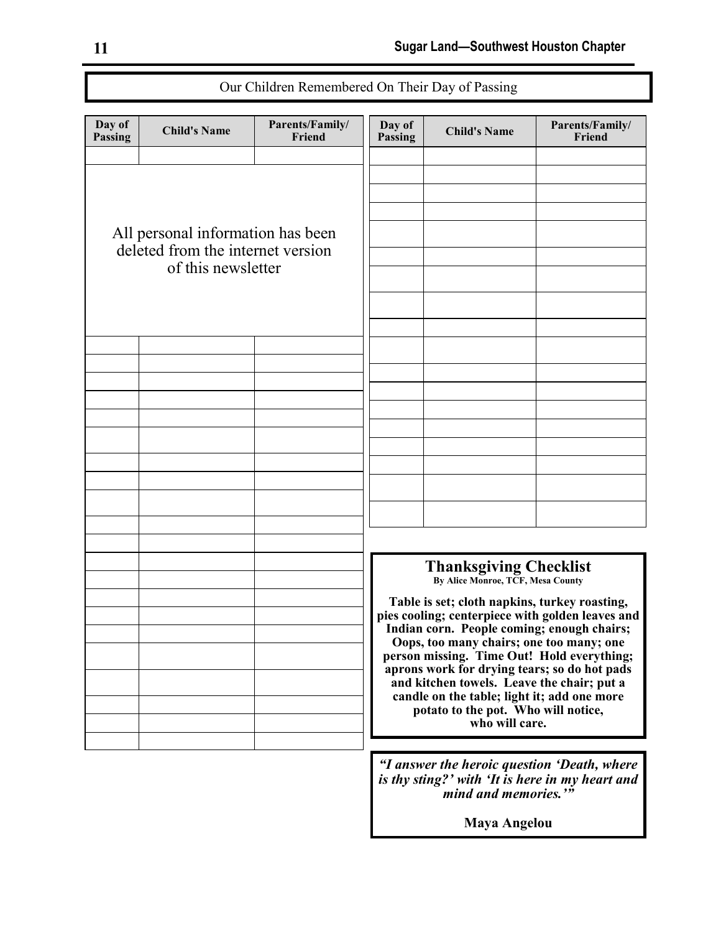| Day of<br><b>Passing</b>                                                                     | <b>Child's Name</b>                         | Parents/Family/<br>Friend | Day of<br>Passing                                                                                                                                                                | <b>Child's Name</b>                                                                               | Parents/Family/<br>Friend |
|----------------------------------------------------------------------------------------------|---------------------------------------------|---------------------------|----------------------------------------------------------------------------------------------------------------------------------------------------------------------------------|---------------------------------------------------------------------------------------------------|---------------------------|
|                                                                                              |                                             |                           |                                                                                                                                                                                  |                                                                                                   |                           |
|                                                                                              |                                             |                           |                                                                                                                                                                                  |                                                                                                   |                           |
| All personal information has been<br>deleted from the internet version<br>of this newsletter |                                             |                           |                                                                                                                                                                                  |                                                                                                   |                           |
|                                                                                              |                                             |                           |                                                                                                                                                                                  |                                                                                                   |                           |
|                                                                                              |                                             |                           |                                                                                                                                                                                  |                                                                                                   |                           |
|                                                                                              |                                             |                           |                                                                                                                                                                                  |                                                                                                   |                           |
|                                                                                              |                                             |                           |                                                                                                                                                                                  |                                                                                                   |                           |
|                                                                                              |                                             |                           |                                                                                                                                                                                  |                                                                                                   |                           |
|                                                                                              |                                             |                           |                                                                                                                                                                                  |                                                                                                   |                           |
|                                                                                              |                                             |                           |                                                                                                                                                                                  |                                                                                                   |                           |
|                                                                                              |                                             |                           |                                                                                                                                                                                  |                                                                                                   |                           |
|                                                                                              |                                             |                           |                                                                                                                                                                                  |                                                                                                   |                           |
|                                                                                              |                                             |                           |                                                                                                                                                                                  |                                                                                                   |                           |
|                                                                                              |                                             |                           |                                                                                                                                                                                  |                                                                                                   |                           |
|                                                                                              |                                             |                           |                                                                                                                                                                                  |                                                                                                   |                           |
|                                                                                              |                                             |                           |                                                                                                                                                                                  | <b>Thanksgiving Checklist</b>                                                                     |                           |
|                                                                                              |                                             |                           |                                                                                                                                                                                  | By Alice Monroe, TCF, Mesa County                                                                 |                           |
|                                                                                              |                                             |                           |                                                                                                                                                                                  | Table is set; cloth napkins, turkey roasting,<br>pies cooling; centerpiece with golden leaves and |                           |
|                                                                                              |                                             |                           | Indian corn. People coming; enough chairs;<br>Oops, too many chairs; one too many; one<br>person missing. Time Out! Hold everything;                                             |                                                                                                   |                           |
|                                                                                              |                                             |                           |                                                                                                                                                                                  |                                                                                                   |                           |
|                                                                                              |                                             |                           | aprons work for drying tears; so do hot pads<br>and kitchen towels. Leave the chair; put a<br>candle on the table; light it; add one more<br>potato to the pot. Who will notice, |                                                                                                   |                           |
|                                                                                              |                                             |                           |                                                                                                                                                                                  |                                                                                                   |                           |
|                                                                                              |                                             |                           | who will care.                                                                                                                                                                   |                                                                                                   |                           |
|                                                                                              | "I answer the heroic question 'Death, where |                           |                                                                                                                                                                                  |                                                                                                   |                           |
|                                                                                              |                                             |                           | is thy sting?' with 'It is here in my heart and                                                                                                                                  |                                                                                                   |                           |

Our Children Remembered On Their Day of Passing

*mind and memories.'"* **Maya Angelou**